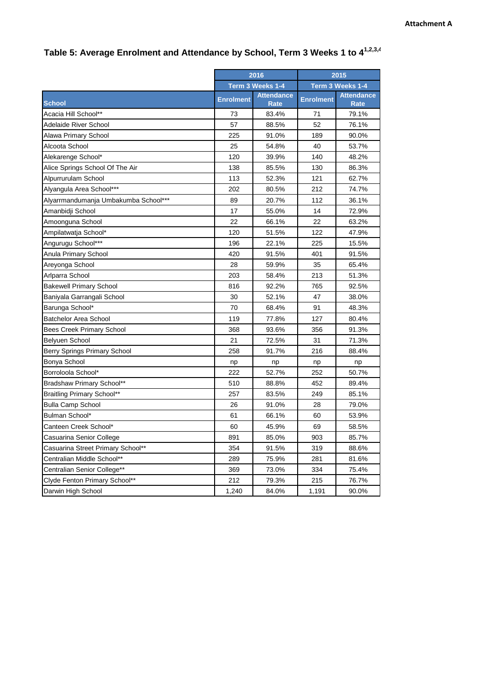|                                      | 2016             |                                  | 2015             |                           |
|--------------------------------------|------------------|----------------------------------|------------------|---------------------------|
|                                      | Term 3 Weeks 1-4 |                                  | Term 3 Weeks 1-4 |                           |
| <b>School</b>                        | <b>Enrolment</b> | <b>Attendance</b><br><b>Rate</b> | <b>Enrolment</b> | <b>Attendance</b><br>Rate |
| Acacia Hill School**                 | 73               | 83.4%                            | 71               | 79.1%                     |
| Adelaide River School                | 57               | 88.5%                            | 52               | 76.1%                     |
| Alawa Primary School                 | 225              | 91.0%                            | 189              | 90.0%                     |
| Alcoota School                       | 25               | 54.8%                            | 40               | 53.7%                     |
| Alekarenge School*                   | 120              | 39.9%                            | 140              | 48.2%                     |
| Alice Springs School Of The Air      | 138              | 85.5%                            | 130              | 86.3%                     |
| Alpurrurulam School                  | 113              | 52.3%                            | 121              | 62.7%                     |
| Alyangula Area School***             | 202              | 80.5%                            | 212              | 74.7%                     |
| Alyarrmandumanja Umbakumba School*** | 89               | 20.7%                            | 112              | 36.1%                     |
| Amanbidji School                     | 17               | 55.0%                            | 14               | 72.9%                     |
| Amoonguna School                     | 22               | 66.1%                            | 22               | 63.2%                     |
| Ampilatwatja School*                 | 120              | 51.5%                            | 122              | 47.9%                     |
| Angurugu School***                   | 196              | 22.1%                            | 225              | 15.5%                     |
| Anula Primary School                 | 420              | 91.5%                            | 401              | 91.5%                     |
| Areyonga School                      | 28               | 59.9%                            | 35               | 65.4%                     |
| Arlparra School                      | 203              | 58.4%                            | 213              | 51.3%                     |
| <b>Bakewell Primary School</b>       | 816              | 92.2%                            | 765              | 92.5%                     |
| Baniyala Garrangali School           | 30               | 52.1%                            | 47               | 38.0%                     |
| Barunga School*                      | 70               | 68.4%                            | 91               | 48.3%                     |
| <b>Batchelor Area School</b>         | 119              | 77.8%                            | 127              | 80.4%                     |
| <b>Bees Creek Primary School</b>     | 368              | 93.6%                            | 356              | 91.3%                     |
| Belyuen School                       | 21               | 72.5%                            | 31               | 71.3%                     |
| Berry Springs Primary School         | 258              | 91.7%                            | 216              | 88.4%                     |
| Bonya School                         | np               | np                               | np               | np                        |
| Borroloola School*                   | 222              | 52.7%                            | 252              | 50.7%                     |
| Bradshaw Primary School**            | 510              | 88.8%                            | 452              | 89.4%                     |
| <b>Braitling Primary School**</b>    | 257              | 83.5%                            | 249              | 85.1%                     |
| <b>Bulla Camp School</b>             | 26               | 91.0%                            | 28               | 79.0%                     |
| Bulman School*                       | 61               | 66.1%                            | 60               | 53.9%                     |
| Canteen Creek School*                | 60               | 45.9%                            | 69               | 58.5%                     |
| Casuarina Senior College             | 891              | 85.0%                            | 903              | 85.7%                     |
| Casuarina Street Primary School**    | 354              | 91.5%                            | 319              | 88.6%                     |
| Centralian Middle School**           | 289              | 75.9%                            | 281              | 81.6%                     |
| Centralian Senior College**          | 369              | 73.0%                            | 334              | 75.4%                     |
| Clyde Fenton Primary School**        | 212              | 79.3%                            | 215              | 76.7%                     |
| Darwin High School                   | 1,240            | 84.0%                            | 1,191            | 90.0%                     |

## **Table 5: Average Enrolment and Attendance by School, Term 3 Weeks 1 to 41,2,3,4**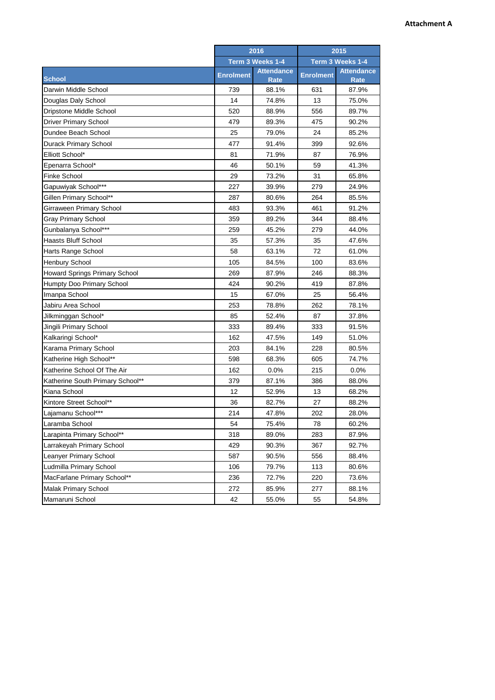|                                  | 2016             |                                  | 2015             |                                  |
|----------------------------------|------------------|----------------------------------|------------------|----------------------------------|
|                                  | Term 3 Weeks 1-4 |                                  | Term 3 Weeks 1-4 |                                  |
| <b>School</b>                    | <b>Enrolment</b> | <b>Attendance</b><br><b>Rate</b> | <b>Enrolment</b> | <b>Attendance</b><br><b>Rate</b> |
| Darwin Middle School             | 739              | 88.1%                            | 631              | 87.9%                            |
| Douglas Daly School              | 14               | 74.8%                            | 13               | 75.0%                            |
| Dripstone Middle School          | 520              | 88.9%                            | 556              | 89.7%                            |
| <b>Driver Primary School</b>     | 479              | 89.3%                            | 475              | 90.2%                            |
| Dundee Beach School              | 25               | 79.0%                            | 24               | 85.2%                            |
| <b>Durack Primary School</b>     | 477              | 91.4%                            | 399              | 92.6%                            |
| Elliott School*                  | 81               | 71.9%                            | 87               | 76.9%                            |
| Epenarra School*                 | 46               | 50.1%                            | 59               | 41.3%                            |
| Finke School                     | 29               | 73.2%                            | 31               | 65.8%                            |
| Gapuwiyak School***              | 227              | 39.9%                            | 279              | 24.9%                            |
| Gillen Primary School**          | 287              | 80.6%                            | 264              | 85.5%                            |
| Girraween Primary School         | 483              | 93.3%                            | 461              | 91.2%                            |
| <b>Gray Primary School</b>       | 359              | 89.2%                            | 344              | 88.4%                            |
| Gunbalanya School***             | 259              | 45.2%                            | 279              | 44.0%                            |
| <b>Haasts Bluff School</b>       | 35               | 57.3%                            | 35               | 47.6%                            |
| Harts Range School               | 58               | 63.1%                            | 72               | 61.0%                            |
| Henbury School                   | 105              | 84.5%                            | 100              | 83.6%                            |
| Howard Springs Primary School    | 269              | 87.9%                            | 246              | 88.3%                            |
| Humpty Doo Primary School        | 424              | 90.2%                            | 419              | 87.8%                            |
| Imanpa School                    | 15               | 67.0%                            | 25               | 56.4%                            |
| Jabiru Area School               | 253              | 78.8%                            | 262              | 78.1%                            |
| Jilkminggan School*              | 85               | 52.4%                            | 87               | 37.8%                            |
| Jingili Primary School           | 333              | 89.4%                            | 333              | 91.5%                            |
| Kalkaringi School*               | 162              | 47.5%                            | 149              | 51.0%                            |
| Karama Primary School            | 203              | 84.1%                            | 228              | 80.5%                            |
| Katherine High School**          | 598              | 68.3%                            | 605              | 74.7%                            |
| Katherine School Of The Air      | 162              | 0.0%                             | 215              | 0.0%                             |
| Katherine South Primary School** | 379              | 87.1%                            | 386              | 88.0%                            |
| Kiana School                     | 12               | 52.9%                            | 13               | 68.2%                            |
| Kintore Street School**          | 36               | 82.7%                            | 27               | 88.2%                            |
| Lajamanu School***               | 214              | 47.8%                            | 202              | 28.0%                            |
| Laramba School                   | 54               | 75.4%                            | 78               | 60.2%                            |
| Larapinta Primary School**       | 318              | 89.0%                            | 283              | 87.9%                            |
| Larrakeyah Primary School        | 429              | 90.3%                            | 367              | 92.7%                            |
| Leanyer Primary School           | 587              | 90.5%                            | 556              | 88.4%                            |
| Ludmilla Primary School          | 106              | 79.7%                            | 113              | 80.6%                            |
| MacFarlane Primary School**      | 236              | 72.7%                            | 220              | 73.6%                            |
| Malak Primary School             | 272              | 85.9%                            | 277              | 88.1%                            |
| Mamaruni School                  | 42               | 55.0%                            | 55               | 54.8%                            |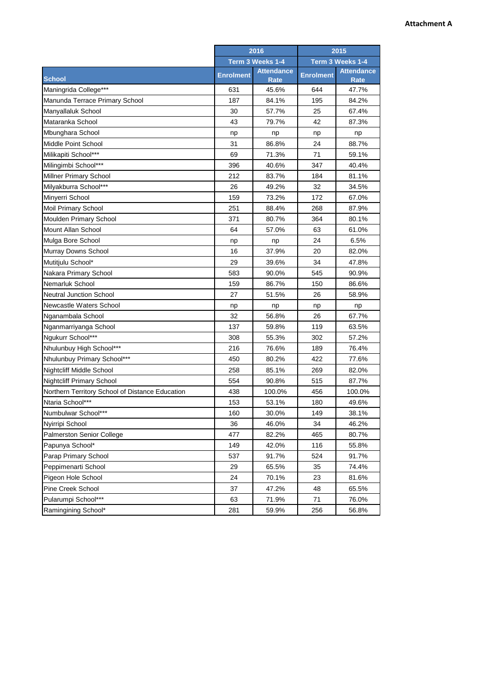|                                                 | 2016<br>Term 3 Weeks 1-4 |                           | 2015<br>Term 3 Weeks 1-4 |                           |
|-------------------------------------------------|--------------------------|---------------------------|--------------------------|---------------------------|
|                                                 |                          |                           |                          |                           |
| <b>School</b>                                   | <b>Enrolment</b>         | <b>Attendance</b><br>Rate | <b>Enrolment</b>         | <b>Attendance</b><br>Rate |
| Maningrida College***                           | 631                      | 45.6%                     | 644                      | 47.7%                     |
| Manunda Terrace Primary School                  | 187                      | 84.1%                     | 195                      | 84.2%                     |
| Manyallaluk School                              | 30                       | 57.7%                     | 25                       | 67.4%                     |
| Mataranka School                                | 43                       | 79.7%                     | 42                       | 87.3%                     |
| Mbunghara School                                | np                       | np                        | np                       | np                        |
| Middle Point School                             | 31                       | 86.8%                     | 24                       | 88.7%                     |
| Milikapiti School***                            | 69                       | 71.3%                     | 71                       | 59.1%                     |
| Milingimbi School***                            | 396                      | 40.6%                     | 347                      | 40.4%                     |
| <b>Millner Primary School</b>                   | 212                      | 83.7%                     | 184                      | 81.1%                     |
| Milyakburra School***                           | 26                       | 49.2%                     | 32                       | 34.5%                     |
| Minyerri School                                 | 159                      | 73.2%                     | 172                      | 67.0%                     |
| Moil Primary School                             | 251                      | 88.4%                     | 268                      | 87.9%                     |
| Moulden Primary School                          | 371                      | 80.7%                     | 364                      | 80.1%                     |
| Mount Allan School                              | 64                       | 57.0%                     | 63                       | 61.0%                     |
| Mulga Bore School                               | np                       | np                        | 24                       | 6.5%                      |
| Murray Downs School                             | 16                       | 37.9%                     | 20                       | 82.0%                     |
| Mutitjulu School*                               | 29                       | 39.6%                     | 34                       | 47.8%                     |
| Nakara Primary School                           | 583                      | 90.0%                     | 545                      | 90.9%                     |
| Nemarluk School                                 | 159                      | 86.7%                     | 150                      | 86.6%                     |
| <b>Neutral Junction School</b>                  | 27                       | 51.5%                     | 26                       | 58.9%                     |
| Newcastle Waters School                         | np                       | np                        | np                       | np                        |
| Nganambala School                               | 32                       | 56.8%                     | 26                       | 67.7%                     |
| Nganmarriyanga School                           | 137                      | 59.8%                     | 119                      | 63.5%                     |
| Ngukurr School***                               | 308                      | 55.3%                     | 302                      | 57.2%                     |
| Nhulunbuy High School***                        | 216                      | 76.6%                     | 189                      | 76.4%                     |
| Nhulunbuy Primary School***                     | 450                      | 80.2%                     | 422                      | 77.6%                     |
| <b>Nightcliff Middle School</b>                 | 258                      | 85.1%                     | 269                      | 82.0%                     |
| <b>Nightcliff Primary School</b>                | 554                      | 90.8%                     | 515                      | 87.7%                     |
| Northern Territory School of Distance Education | 438                      | 100.0%                    | 456                      | 100.0%                    |
| Ntaria School***                                | 153                      | 53.1%                     | 180                      | 49.6%                     |
| Numbulwar School***                             | 160                      | 30.0%                     | 149                      | 38.1%                     |
| Nyirripi School                                 | 36                       | 46.0%                     | 34                       | 46.2%                     |
| Palmerston Senior College                       | 477                      | 82.2%                     | 465                      | 80.7%                     |
| Papunya School*                                 | 149                      | 42.0%                     | 116                      | 55.8%                     |
| Parap Primary School                            | 537                      | 91.7%                     | 524                      | 91.7%                     |
| Peppimenarti School                             | 29                       | 65.5%                     | 35                       | 74.4%                     |
| Pigeon Hole School                              | 24                       | 70.1%                     | 23                       | 81.6%                     |
| Pine Creek School                               | 37                       | 47.2%                     | 48                       | 65.5%                     |
| Pularumpi School***                             | 63                       | 71.9%                     | 71                       | 76.0%                     |
| Ramingining School*                             | 281                      | 59.9%                     | 256                      | 56.8%                     |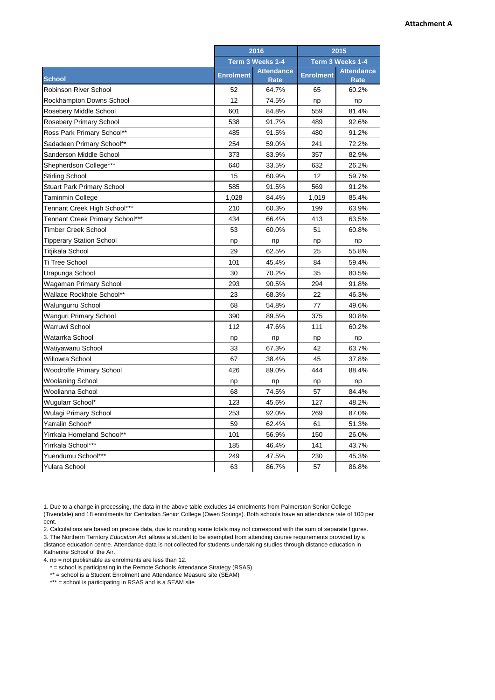|                                   | 2016             |                           | 2015             |                           |
|-----------------------------------|------------------|---------------------------|------------------|---------------------------|
|                                   | Term 3 Weeks 1-4 |                           | Term 3 Weeks 1-4 |                           |
| <b>School</b>                     | <b>Enrolment</b> | <b>Attendance</b><br>Rate | <b>Enrolment</b> | <b>Attendance</b><br>Rate |
| <b>Robinson River School</b>      | 52               | 64.7%                     | 65               | 60.2%                     |
| Rockhampton Downs School          | 12               | 74.5%                     | np               | np                        |
| Rosebery Middle School            | 601              | 84.8%                     | 559              | 81.4%                     |
| <b>Rosebery Primary School</b>    | 538              | 91.7%                     | 489              | 92.6%                     |
| Ross Park Primary School**        | 485              | 91.5%                     | 480              | 91.2%                     |
| Sadadeen Primary School**         | 254              | 59.0%                     | 241              | 72.2%                     |
| Sanderson Middle School           | 373              | 83.9%                     | 357              | 82.9%                     |
| Shepherdson College***            | 640              | 33.5%                     | 632              | 26.2%                     |
| <b>Stirling School</b>            | 15               | 60.9%                     | 12               | 59.7%                     |
| <b>Stuart Park Primary School</b> | 585              | 91.5%                     | 569              | 91.2%                     |
| Taminmin College                  | 1,028            | 84.4%                     | 1,019            | 85.4%                     |
| Tennant Creek High School***      | 210              | 60.3%                     | 199              | 63.9%                     |
| Tennant Creek Primary School***   | 434              | 66.4%                     | 413              | 63.5%                     |
| Timber Creek School               | 53               | 60.0%                     | 51               | 60.8%                     |
| Tipperary Station School          | np               | np                        | np               | np                        |
| Titjikala School                  | 29               | 62.5%                     | 25               | 55.8%                     |
| Ti Tree School                    | 101              | 45.4%                     | 84               | 59.4%                     |
| Urapunga School                   | 30               | 70.2%                     | 35               | 80.5%                     |
| Wagaman Primary School            | 293              | 90.5%                     | 294              | 91.8%                     |
| Wallace Rockhole School**         | 23               | 68.3%                     | 22               | 46.3%                     |
| Walungurru School                 | 68               | 54.8%                     | 77               | 49.6%                     |
| Wanguri Primary School            | 390              | 89.5%                     | 375              | 90.8%                     |
| Warruwi School                    | 112              | 47.6%                     | 111              | 60.2%                     |
| Watarrka School                   | np               | np                        | np               | np                        |
| Watiyawanu School                 | 33               | 67.3%                     | 42               | 63.7%                     |
| Willowra School                   | 67               | 38.4%                     | 45               | 37.8%                     |
| Woodroffe Primary School          | 426              | 89.0%                     | 444              | 88.4%                     |
| Woolaning School                  | np               | np                        | np               | np                        |
| Woolianna School                  | 68               | 74.5%                     | 57               | 84.4%                     |
| Wugularr School*                  | 123              | 45.6%                     | 127              | 48.2%                     |
| Wulagi Primary School             | 253              | 92.0%                     | 269              | 87.0%                     |
| Yarralin School*                  | 59               | 62.4%                     | 61               | 51.3%                     |
| Yirrkala Homeland School**        | 101              | 56.9%                     | 150              | 26.0%                     |
| Yirrkala School***                | 185              | 46.4%                     | 141              | 43.7%                     |
| Yuendumu School***                | 249              | 47.5%                     | 230              | 45.3%                     |
| Yulara School                     | 63               | 86.7%                     | 57               | 86.8%                     |

1. Due to a change in processing, the data in the above table excludes 14 enrolments from Palmerston Senior College (Tivendale) and 18 enrolments for Centralian Senior College (Owen Springs). Both schools have an attendance rate of 100 per cent.

2. Calculations are based on precise data, due to rounding some totals may not correspond with the sum of separate figures. 3. The Northern Territory *Education Act* allows a student to be exempted from attending course requirements provided by a

distance education centre. Attendance data is not collected for students undertaking studies through distance education in Katherine School of the Air.

4. np = not publishable as enrolments are less than 12.

- \* = school is participating in the Remote Schools Attendance Strategy (RSAS)
- \*\* = school is a Student Enrolment and Attendance Measure site (SEAM)
- \*\*\* = school is participating in RSAS and is a SEAM site